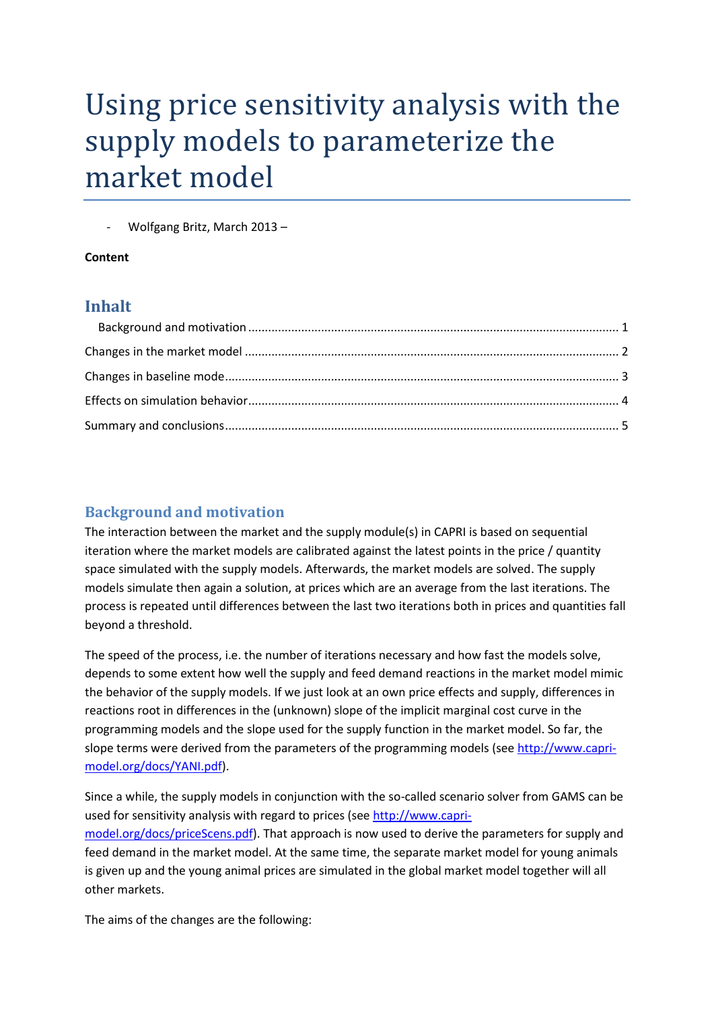# Using price sensitivity analysis with the supply models to parameterize the market model

- Wolfgang Britz, March 2013 –

#### **Content**

#### **Inhalt**

### <span id="page-0-0"></span>**Background and motivation**

The interaction between the market and the supply module(s) in CAPRI is based on sequential iteration where the market models are calibrated against the latest points in the price / quantity space simulated with the supply models. Afterwards, the market models are solved. The supply models simulate then again a solution, at prices which are an average from the last iterations. The process is repeated until differences between the last two iterations both in prices and quantities fall beyond a threshold.

The speed of the process, i.e. the number of iterations necessary and how fast the models solve, depends to some extent how well the supply and feed demand reactions in the market model mimic the behavior of the supply models. If we just look at an own price effects and supply, differences in reactions root in differences in the (unknown) slope of the implicit marginal cost curve in the programming models and the slope used for the supply function in the market model. So far, the slope terms were derived from the parameters of the programming models (se[e http://www.capri](http://www.capri-model.org/docs/YANI.pdf)[model.org/docs/YANI.pdf\)](http://www.capri-model.org/docs/YANI.pdf).

Since a while, the supply models in conjunction with the so-called scenario solver from GAMS can be used for sensitivity analysis with regard to prices (see [http://www.capri](http://www.capri-model.org/docs/priceScens.pdf)[model.org/docs/priceScens.pdf\)](http://www.capri-model.org/docs/priceScens.pdf). That approach is now used to derive the parameters for supply and feed demand in the market model. At the same time, the separate market model for young animals is given up and the young animal prices are simulated in the global market model together will all other markets.

The aims of the changes are the following: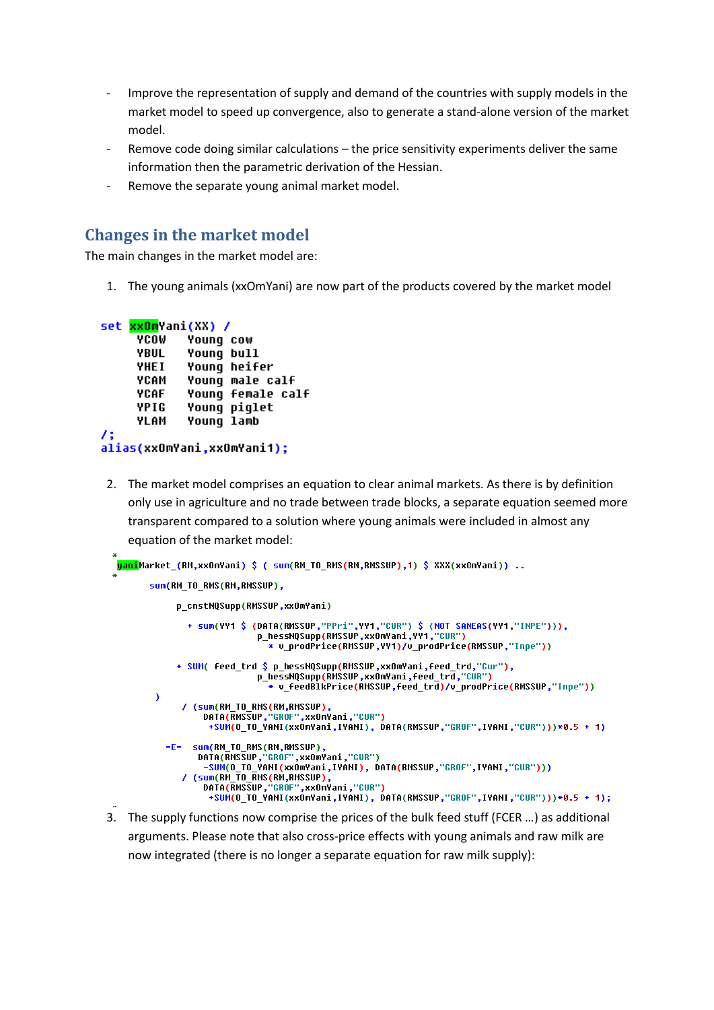- Improve the representation of supply and demand of the countries with supply models in the market model to speed up convergence, also to generate a stand-alone version of the market model.
- Remove code doing similar calculations the price sensitivity experiments deliver the same information then the parametric derivation of the Hessian.
- Remove the separate young animal market model.

#### <span id="page-1-0"></span>**Changes in the market model**

The main changes in the market model are:

1. The young animals (xxOmYani) are now part of the products covered by the market model

```
set xx0mYani(XX) /
     YCOW
            Young cow
     YBUL
            Young bull
     YHEI
            Young heifer
     YCAM
            Young male calf
     YCAF
            Young female calf
     YPIG
            Young piglet
     YLAM
            Young lamb
75
alias(xx0mYani,xx0mYani1);
```
2. The market model comprises an equation to clear animal markets. As there is by definition only use in agriculture and no trade between trade blocks, a separate equation seemed more transparent compared to a solution where young animals were included in almost any equation of the market model:

```
<mark>yani</mark>Market (RM,xxOmYani) $ ( sum(RM TO RMS(RM,RMSSUP),1) $ XXX(xxOmYani)) ..
      sum(RM_TO_RMS(RM,RMSSUP),
            p_cnstNQSupp(RMSSUP,xxOmYani)
              + sum(YY1 $ (DATA(RMSSUP,"PPri",YY1,"CUR") $ (NOT SAMEAS(YY1,"INPE"))),
                            p_hessNQSupp(RMSSUP,xxOmYani,YY1,"CUR")
                               * v_prodPrice(RMSSUP,YY1)/v_prodPrice(RMSSUP,"Inpe"))
            + SUM( feed trd $ p_hessNQSupp(RMSSUP,xxOmYani,feed trd,"Cur"),
                            p_hessNQSupp(RMSSUP,xx0mYani,feed_trd,"CUR")
                               * v_feedBlkPrice(RMSSUP,feed_trd)/v_prodPrice(RMSSUP,"Inpe"))
       <sup>1</sup>
             / (sum(RM_TO_RMS(RM,RMSSUP),
                 DATA(RMSSUP,"GROF",xx0mYani,"CUR")
                   +SUM(O_TO_YANI(xxOmYani,IYANI), DATA(RMSSUP,"GROF",IYANI,"CUR")))*0.5 + 1)
          =E= sum(RM_TO_RMS(RM,RMSSUP),
                DATA(RMSSUP,"GROF",xxOmYani,"CUR")
                  -<mark>SUM</mark>(O_TO_YANI(xxOmYani,IYANI), DATA(RMSSUP,"GROF",IYANI,"CUR")))
             / (sum(RM_TO_RMS(RM,RMSSUP),<br>DATA(RMSSUP,"GROF",xxOmYani,"CUR")
                   +SUM(O_TO_YANI(xxOmYani,IYANI),_DATA(RMSSUP,"GROF",IYANI,"CUR")))*0.5 + 1);
```
3. The supply functions now comprise the prices of the bulk feed stuff (FCER …) as additional arguments. Please note that also cross-price effects with young animals and raw milk are now integrated (there is no longer a separate equation for raw milk supply):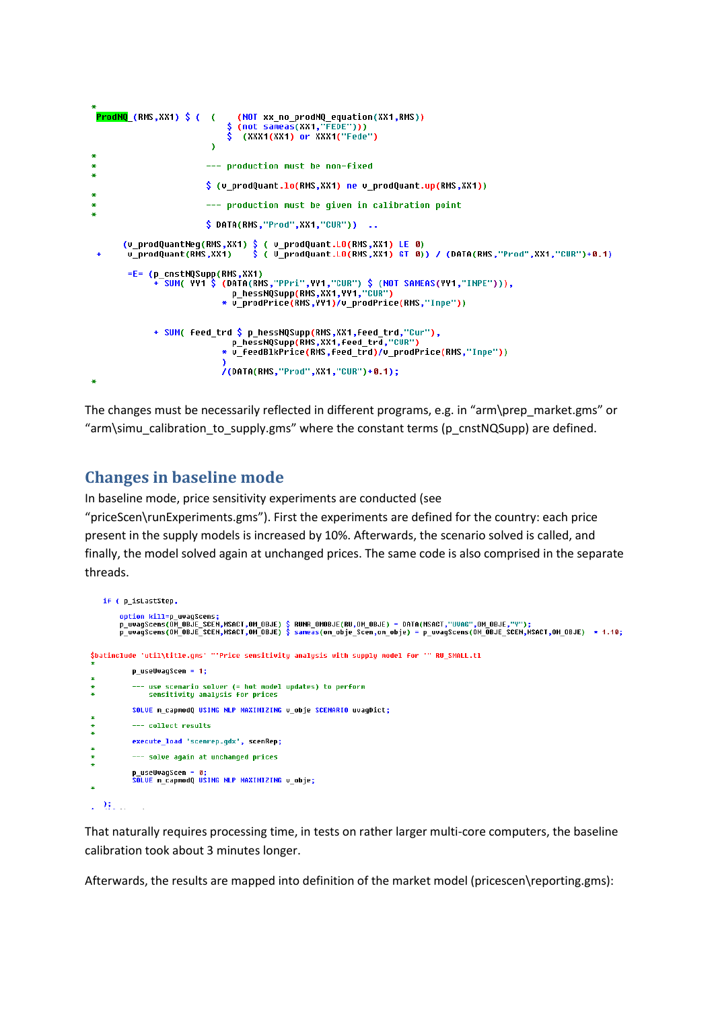```
ProdNQ_(RMS,XX1) $ ( (
                                (NOT xx_no_prodNQ_equation(XX1,RMS))
                                (not sameas(XX1,"FEDE")))<br>(XXX1(XX1) or XXX1("Fede")
                          \Delta--- production must be non-fixed
                         $ (v prodQuant.lo(RMS,XX1) ne v prodQuant.up(RMS,XX1))
                         --- production must be given in calibration point
                         $ DATA(RMS, "Prod", XX1, "CUR")) ..
      (v_prodQuantNeg(RMS,XX1) $ ( v_prodQuant.LO(RMS,XX1) LE 0)<br>v_prodQuant(RMS,XX1) $ ( V_prodQuant.LO(RMS,XX1) GT 0)) / (DATA(RMS,"Prod",XX1,"CUR")+0.1)
       =E= (p_cnstNQSupp(RMS,XX1)
              -<br>+ SUM( YY1 $ (DATA(RMS,"PPri",YY1,"CUR") $ (NOT SAMEAS(YY1,"INPE"))),
                               p_hessNQSupp(RMS,XX1,YY1,"CUR")
                             * v_prodPrice(RMS,YY1)/v_prodPrice(RMS,"Inpe"))
             + SUM( feed_trd $ p_hessNQSupp(RMS,XX1,feed_trd,"Cur"),
                             p_hessNQSupp(RMS,xX1,feed_trd,"CUR")<br>* v_feedBlkPrice(RMS,feed_trd)/v_prodPrice(RMS,"Inpe"))
                             /(DATA(RMS,"Prod",XX1,"CUR")+0.1);
```
The changes must be necessarily reflected in different programs, e.g. in "arm\prep\_market.gms" or "arm\simu\_calibration\_to\_supply.gms" where the constant terms (p\_cnstNQSupp) are defined.

## <span id="page-2-0"></span>**Changes in baseline mode**

In baseline mode, price sensitivity experiments are conducted (see "priceScen\runExperiments.gms"). First the experiments are defined for the country: each price present in the supply models is increased by 10%. Afterwards, the scenario solved is called, and finally, the model solved again at unchanged prices. The same code is also comprised in the separate threads.

```
if ( p isLastStep.
         option kill=p_uvagScens;<br>p_uvagScens(OM_OBJE_SCEN,MSACT,OM_OBJE) $ RUNR_OMOBJE(RU,OM_OBJE) = DATA(MSACT,"UVAG",OM_OBJE,"Y");<br>p_uvagScens(OM_OBJE_SCEN,MSACT,OM_OBJE) $ sameas(om_obje_Scen,om_obje) = p_uvagScens(OM_OBJE_SCEN
$batinclude 'util\title.gms' "'Price sensitivity analysis with supply model for '" RU_SMALL.tl
            p useUvagScen = 1:
            --- use scenario solver (= hot model updates) to perform<br>sensitivity analysis for prices
            SOLUE m_capmodQ USING MLP MAXIMIZING v_obje SCENARIO uvagDict;
            --- collect results
            execute_load 'scenrep.gdx', scenRep;
            --- solve again at unchanged prices
            p_useUvagScen = 0;<br>SOLVE m_capmodQ USING NLP MAXIMIZING v_obje;
1.9411
```
That naturally requires processing time, in tests on rather larger multi-core computers, the baseline calibration took about 3 minutes longer.

Afterwards, the results are mapped into definition of the market model (pricescen\reporting.gms):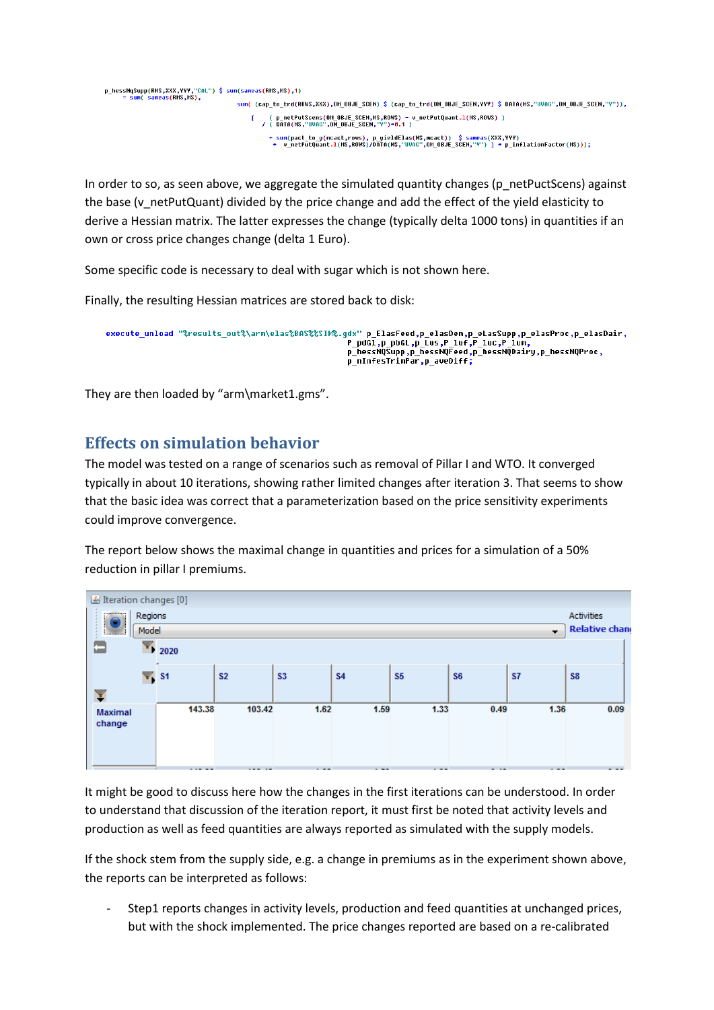```
p_hessNqSupp(RMS,XXX,YYY,"CAL") $ sum(sameas(RMS,MS),1)<br>= sum( sameas(RMS,MS),
                                   sum( (cap_to_trd(ROWS,XXX),OM_OBJE_SCEN) $ (cap_to_trd(OM_OBJE_SCEN,YYY) $ DATA(MS,"UVAG",OM_OBJE_SCEN,"Y")),
                                         ( p_netPutScens(OM_OBJE_SCEN,MS,ROWS) - v_netPutQuant.1(MS,ROWS) )<br>/ ( DATA(MS,"UVAG",OM_OBJE_SCEN,"Y")*0.1 )
```
In order to so, as seen above, we aggregate the simulated quantity changes (p\_netPuctScens) against the base (v\_netPutQuant) divided by the price change and add the effect of the yield elasticity to derive a Hessian matrix. The latter expresses the change (typically delta 1000 tons) in quantities if an own or cross price changes change (delta 1 Euro).

Some specific code is necessary to deal with sugar which is not shown here.

Finally, the resulting Hessian matrices are stored back to disk:

```
execute_unload "%results_out%\arm\elas%BAS%%SIM%.gdx" p_ElasFeed,p_elasDem,p_eLasSupp,p_elasProc,p_elasDair,
                                                                         en<br>P_pdGl,p_pbGL,p_Lus,P_luf,P_luc,P_lum,<br>p_hessNQSupp,p_hessNQFeed,p_hessNQDairy,p_hessNQProc,<br>p_nInfesTrimPar,p_aveDiff;
```
They are then loaded by "arm\market1.gms".

### <span id="page-3-0"></span>**Effects on simulation behavior**

The model was tested on a range of scenarios such as removal of Pillar I and WTO. It converged typically in about 10 iterations, showing rather limited changes after iteration 3. That seems to show that the basic idea was correct that a parameterization based on the price sensitivity experiments could improve convergence.

The report below shows the maximal change in quantities and prices for a simulation of a 50% reduction in pillar I premiums.



It might be good to discuss here how the changes in the first iterations can be understood. In order to understand that discussion of the iteration report, it must first be noted that activity levels and production as well as feed quantities are always reported as simulated with the supply models.

If the shock stem from the supply side, e.g. a change in premiums as in the experiment shown above, the reports can be interpreted as follows:

Step1 reports changes in activity levels, production and feed quantities at unchanged prices, but with the shock implemented. The price changes reported are based on a re-calibrated